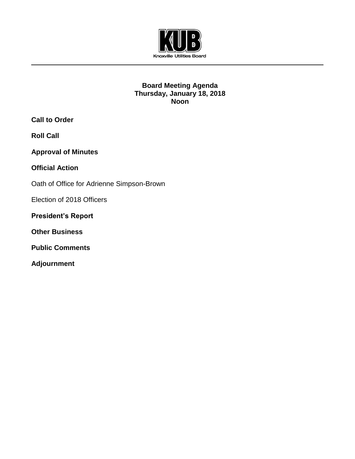

## **Board Meeting Agenda Thursday, January 18, 2018 Noon**

**Call to Order**

**Roll Call**

**Approval of Minutes**

**Official Action** 

Oath of Office for Adrienne Simpson-Brown

Election of 2018 Officers

**President's Report**

**Other Business**

**Public Comments**

**Adjournment**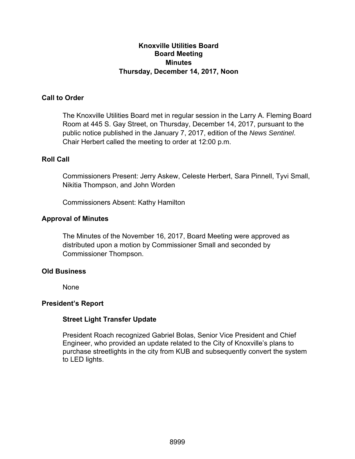## **Knoxville Utilities Board Board Meeting Minutes Thursday, December 14, 2017, Noon**

## **Call to Order**

The Knoxville Utilities Board met in regular session in the Larry A. Fleming Board Room at 445 S. Gay Street, on Thursday, December 14, 2017, pursuant to the public notice published in the January 7, 2017, edition of the *News Sentinel*. Chair Herbert called the meeting to order at 12:00 p.m.

## **Roll Call**

Commissioners Present: Jerry Askew, Celeste Herbert, Sara Pinnell, Tyvi Small, Nikitia Thompson, and John Worden

Commissioners Absent: Kathy Hamilton

## **Approval of Minutes**

The Minutes of the November 16, 2017, Board Meeting were approved as distributed upon a motion by Commissioner Small and seconded by Commissioner Thompson.

## **Old Business**

None

## **President's Report**

## **Street Light Transfer Update**

President Roach recognized Gabriel Bolas, Senior Vice President and Chief Engineer, who provided an update related to the City of Knoxville's plans to purchase streetlights in the city from KUB and subsequently convert the system to LED lights.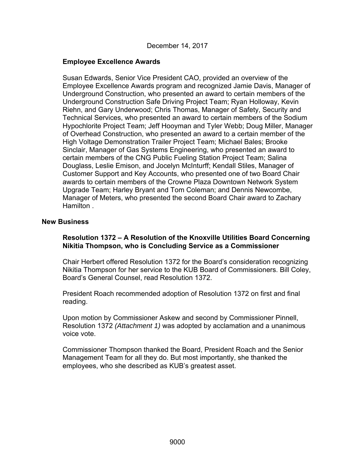December 14, 2017

### **Employee Excellence Awards**

Susan Edwards, Senior Vice President CAO, provided an overview of the Employee Excellence Awards program and recognized Jamie Davis, Manager of Underground Construction, who presented an award to certain members of the Underground Construction Safe Driving Project Team; Ryan Holloway, Kevin Riehn, and Gary Underwood; Chris Thomas, Manager of Safety, Security and Technical Services, who presented an award to certain members of the Sodium Hypochlorite Project Team; Jeff Hooyman and Tyler Webb; Doug Miller, Manager of Overhead Construction, who presented an award to a certain member of the High Voltage Demonstration Trailer Project Team; Michael Bales; Brooke Sinclair, Manager of Gas Systems Engineering, who presented an award to certain members of the CNG Public Fueling Station Project Team; Salina Douglass, Leslie Emison, and Jocelyn McInturff; Kendall Stiles, Manager of Customer Support and Key Accounts, who presented one of two Board Chair awards to certain members of the Crowne Plaza Downtown Network System Upgrade Team; Harley Bryant and Tom Coleman; and Dennis Newcombe, Manager of Meters, who presented the second Board Chair award to Zachary Hamilton .

#### **New Business**

## **Resolution 1372 – A Resolution of the Knoxville Utilities Board Concerning Nikitia Thompson, who is Concluding Service as a Commissioner**

Chair Herbert offered Resolution 1372 for the Board's consideration recognizing Nikitia Thompson for her service to the KUB Board of Commissioners. Bill Coley, Board's General Counsel, read Resolution 1372.

President Roach recommended adoption of Resolution 1372 on first and final reading.

Upon motion by Commissioner Askew and second by Commissioner Pinnell, Resolution 1372 *(Attachment 1)* was adopted by acclamation and a unanimous voice vote.

Commissioner Thompson thanked the Board, President Roach and the Senior Management Team for all they do. But most importantly, she thanked the employees, who she described as KUB's greatest asset.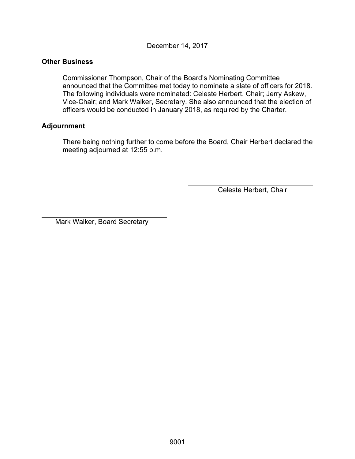December 14, 2017

#### **Other Business**

 Commissioner Thompson, Chair of the Board's Nominating Committee announced that the Committee met today to nominate a slate of officers for 2018. The following individuals were nominated: Celeste Herbert, Chair; Jerry Askew, Vice-Chair; and Mark Walker, Secretary. She also announced that the election of officers would be conducted in January 2018, as required by the Charter.

## **Adjournment**

l

There being nothing further to come before the Board, Chair Herbert declared the meeting adjourned at 12:55 p.m.

Celeste Herbert, Chair

Mark Walker, Board Secretary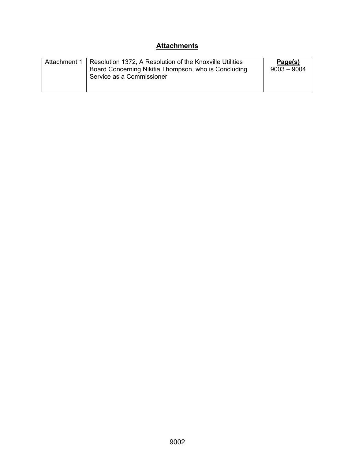# **Attachments**

| Attachment 1 | Resolution 1372, A Resolution of the Knoxville Utilities<br>Board Concerning Nikitia Thompson, who is Concluding<br>Service as a Commissioner | Page(s)<br>$9003 - 9004$ |
|--------------|-----------------------------------------------------------------------------------------------------------------------------------------------|--------------------------|
|--------------|-----------------------------------------------------------------------------------------------------------------------------------------------|--------------------------|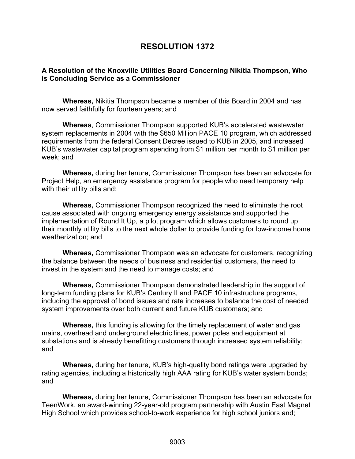# **RESOLUTION 1372**

#### **A Resolution of the Knoxville Utilities Board Concerning Nikitia Thompson, Who is Concluding Service as a Commissioner**

**Whereas,** Nikitia Thompson became a member of this Board in 2004 and has now served faithfully for fourteen years; and

**Whereas**, Commissioner Thompson supported KUB's accelerated wastewater system replacements in 2004 with the \$650 Million PACE 10 program, which addressed requirements from the federal Consent Decree issued to KUB in 2005, and increased KUB's wastewater capital program spending from \$1 million per month to \$1 million per week; and

**Whereas,** during her tenure, Commissioner Thompson has been an advocate for Project Help, an emergency assistance program for people who need temporary help with their utility bills and;

**Whereas,** Commissioner Thompson recognized the need to eliminate the root cause associated with ongoing emergency energy assistance and supported the implementation of Round It Up, a pilot program which allows customers to round up their monthly utility bills to the next whole dollar to provide funding for low-income home weatherization; and

**Whereas,** Commissioner Thompson was an advocate for customers, recognizing the balance between the needs of business and residential customers, the need to invest in the system and the need to manage costs; and

**Whereas,** Commissioner Thompson demonstrated leadership in the support of long-term funding plans for KUB's Century II and PACE 10 infrastructure programs, including the approval of bond issues and rate increases to balance the cost of needed system improvements over both current and future KUB customers; and

**Whereas,** this funding is allowing for the timely replacement of water and gas mains, overhead and underground electric lines, power poles and equipment at substations and is already benefitting customers through increased system reliability; and

**Whereas,** during her tenure, KUB's high-quality bond ratings were upgraded by rating agencies, including a historically high AAA rating for KUB's water system bonds; and

**Whereas,** during her tenure, Commissioner Thompson has been an advocate for TeenWork, an award-winning 22-year-old program partnership with Austin East Magnet High School which provides school-to-work experience for high school juniors and;